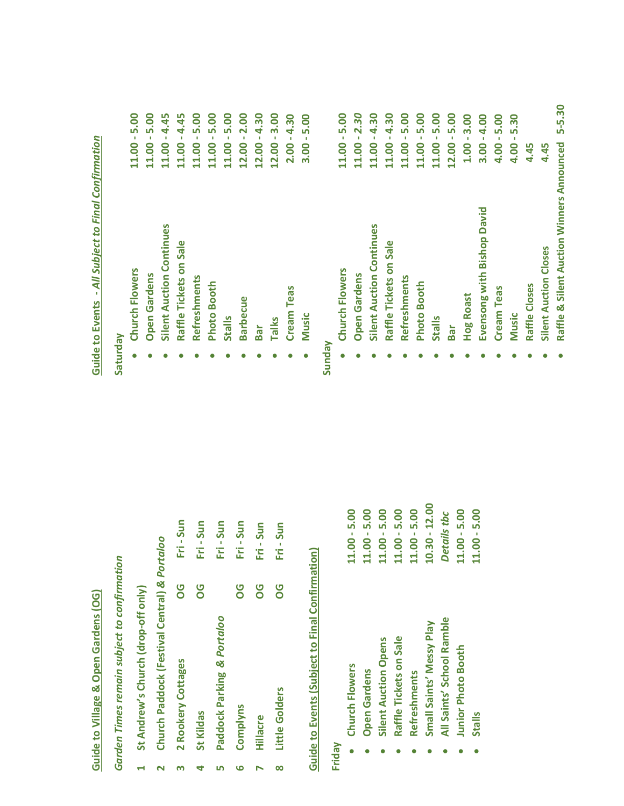## **Guide to Village & Open Gardens (OG) Guide to Village & Open Gardens (OG)**

Garden Times remain subject to confirmation *Garden Times remain subject to confirmation*

- St Andrew's Church (drop-off only) **St Andrew's Church (drop‐off only) 1**
- Church Paddock (Festival Central) & Portaloo **Church Paddock (Festival Central)** *& Portaloo* **2**
- Fri-Sun Fri - Sun Fri - Sun Fri - Sun Fri - Sun **2 Rookery Cottages OG Fri ‐ Sun St Kildas OG Fri ‐ Sun Paddock Parking** *& Portaloo* **Fri ‐ Sun Complyns OG Fri ‐ Sun Hillacre OG Fri ‐ Sun 90** 80 **OG OG** Paddock Parking & Portaloo 2 Rookery Cottages Complyns St Kildas Hillacre **53 467**

## Guide to Events (Subject to Final Confirmation) **Guide to Events (Subject to Final Confirmation)**

**8**

Little Golders

**Little Golders OG Fri ‐ Sun**

Fri-Sun

**OG** 

**Friday**

| Church Flowers              | $11.00 - 5.00$ |
|-----------------------------|----------------|
| <b>Open Gardens</b>         | $11.00 - 5.00$ |
| <b>Silent Auction Opens</b> | 11.00 - 5.00   |
| Raffle Tickets on Sale      | 11.00 - 5.00   |
| <b>Refreshments</b>         | $11.00 - 5.00$ |
| Small Saints' Messy Play    | 10.30 - 12.00  |
| All Saints' School Ramble   | Details thc    |
| Junior Photo Booth          | 11.00 - 5.00   |
| <b>Stalls</b>               | $11.00 - 5.00$ |

 $\bullet$ 

**Hog Roast** 

 $\bullet$ 

 $\bullet$ 

**Cream Teas** 

 $\bullet$ 

**Music** 

 $\bullet$ 

Raffle Closes

 $\bullet$ 

**Hog Roast 1.00 ‐ 3.00**

 $1.00 - 3.00$  $3.00 - 4.00$ 

**Evensong with Bishop David 3.00 ‐ 4.00**

Evensong with Bishop David

**Cream Teas 4.00 ‐ 5.00**

 $4.00 - 5.00$  $4.00 - 5.30$ 

**Music 4.00 ‐ 5.30**

**Raffle Closes 4.45**

4.45

## Guide to Events - All Subject to Final Confirmation **Guide to Events ‐** *All Subject to Final Confirmation*

## **Satu**

| <b>Nepunaes</b> |                                 |                |
|-----------------|---------------------------------|----------------|
|                 | <b>Church Flowers</b>           | $11.00 - 5.00$ |
|                 | <b>Open Gardens</b>             | $11.00 - 5.00$ |
|                 | <b>Silent Auction Continues</b> | 11.00 - 4.45   |
|                 | Raffle Tickets on Sale          | 11.00 - 4.45   |
|                 | Refreshments                    | $11.00 - 5.00$ |
|                 | <b>Photo Booth</b>              | $11.00 - 5.00$ |
|                 | <b>Stalls</b>                   | 11.00 - 5.00   |
|                 | <b>Barbecue</b>                 | $12.00 - 2.00$ |
|                 | Bar                             | $12.00 - 4.30$ |
|                 | <b>Talks</b>                    | $12.00 - 3.00$ |
|                 | <b>Cream Teas</b>               | $2.00 - 4.30$  |
|                 | <b>Music</b>                    | $3.00 - 5.00$  |
| <b>Sunday</b>   |                                 |                |
| ė               | Church Flowers                  | $11.00 - 5.00$ |
|                 | <b>Open Gardens</b>             | $11.00 - 2.30$ |
|                 | <b>Silent Auction Continues</b> | $11.00 - 4.30$ |
|                 | Raffle Tickets on Sale          | $11.00 - 4.30$ |
|                 | Refreshments                    | $11.00 - 5.00$ |
|                 | <b>Photo Booth</b>              | $11.00 - 5.00$ |
|                 | <b>Stalls</b>                   | $11.00 - 5.00$ |
|                 | Bar                             | $12.00 - 5.00$ |

4.45 **Silent Auction Closes 4.45 Silent Auction Closes** 

Raffle & Silent Auction Winners Announced 5-5.30 **Raffle & Silent Auction Winners Announced 5‐5.30** $\bullet$